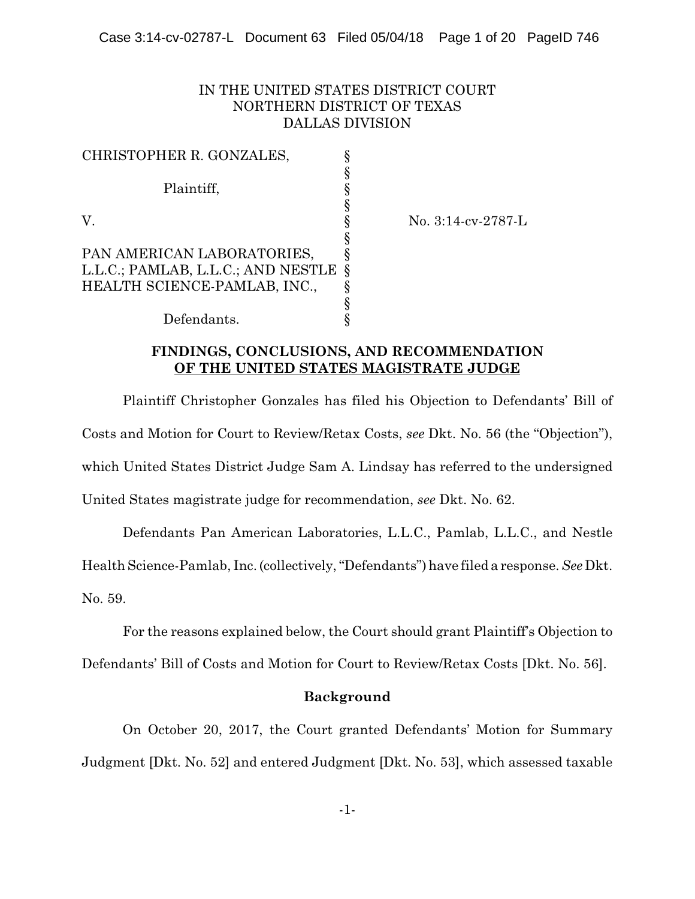# IN THE UNITED STATES DISTRICT COURT NORTHERN DISTRICT OF TEXAS DALLAS DIVISION

| CHRISTOPHER R. GONZALES,           |                       |
|------------------------------------|-----------------------|
|                                    |                       |
| Plaintiff,                         |                       |
|                                    |                       |
| V.                                 |                       |
|                                    |                       |
| PAN AMERICAN LABORATORIES,         |                       |
| L.L.C.; PAMLAB, L.L.C.; AND NESTLE | $\boldsymbol{\delta}$ |
| HEALTH SCIENCE-PAMLAB, INC.,       |                       |
|                                    |                       |
| Defendants.                        |                       |

V. § No. 3:14-cv-2787-L

# **FINDINGS, CONCLUSIONS, AND RECOMMENDATION OF THE UNITED STATES MAGISTRATE JUDGE**

Plaintiff Christopher Gonzales has filed his Objection to Defendants' Bill of Costs and Motion for Court to Review/Retax Costs, *see* Dkt. No. 56 (the "Objection"), which United States District Judge Sam A. Lindsay has referred to the undersigned United States magistrate judge for recommendation, *see* Dkt. No. 62.

Defendants Pan American Laboratories, L.L.C., Pamlab, L.L.C., and Nestle

Health Science-Pamlab, Inc. (collectively, "Defendants") have filed a response. *See*Dkt.

No. 59.

For the reasons explained below, the Court should grant Plaintiff's Objection to

Defendants' Bill of Costs and Motion for Court to Review/Retax Costs [Dkt. No. 56].

### **Background**

On October 20, 2017, the Court granted Defendants' Motion for Summary Judgment [Dkt. No. 52] and entered Judgment [Dkt. No. 53], which assessed taxable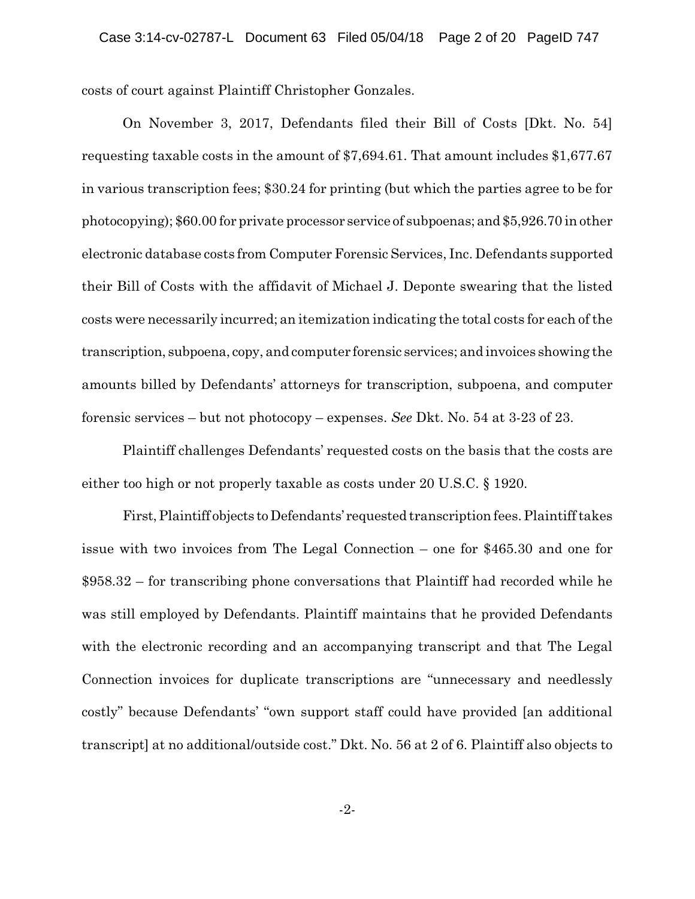costs of court against Plaintiff Christopher Gonzales.

On November 3, 2017, Defendants filed their Bill of Costs [Dkt. No. 54] requesting taxable costs in the amount of \$7,694.61. That amount includes \$1,677.67 in various transcription fees; \$30.24 for printing (but which the parties agree to be for photocopying); \$60.00 for private processor service of subpoenas; and \$5,926.70 in other electronic database costs from Computer Forensic Services, Inc. Defendants supported their Bill of Costs with the affidavit of Michael J. Deponte swearing that the listed costs were necessarily incurred; an itemization indicating the total costs for each of the transcription, subpoena, copy, and computer forensic services; and invoices showing the amounts billed by Defendants' attorneys for transcription, subpoena, and computer forensic services – but not photocopy – expenses. *See* Dkt. No. 54 at 3-23 of 23.

Plaintiff challenges Defendants' requested costs on the basis that the costs are either too high or not properly taxable as costs under 20 U.S.C. § 1920.

First,Plaintiff objects toDefendants' requested transcription fees. Plaintiff takes issue with two invoices from The Legal Connection – one for \$465.30 and one for \$958.32 – for transcribing phone conversations that Plaintiff had recorded while he was still employed by Defendants. Plaintiff maintains that he provided Defendants with the electronic recording and an accompanying transcript and that The Legal Connection invoices for duplicate transcriptions are "unnecessary and needlessly costly" because Defendants' "own support staff could have provided [an additional transcript] at no additional/outside cost." Dkt. No. 56 at 2 of 6. Plaintiff also objects to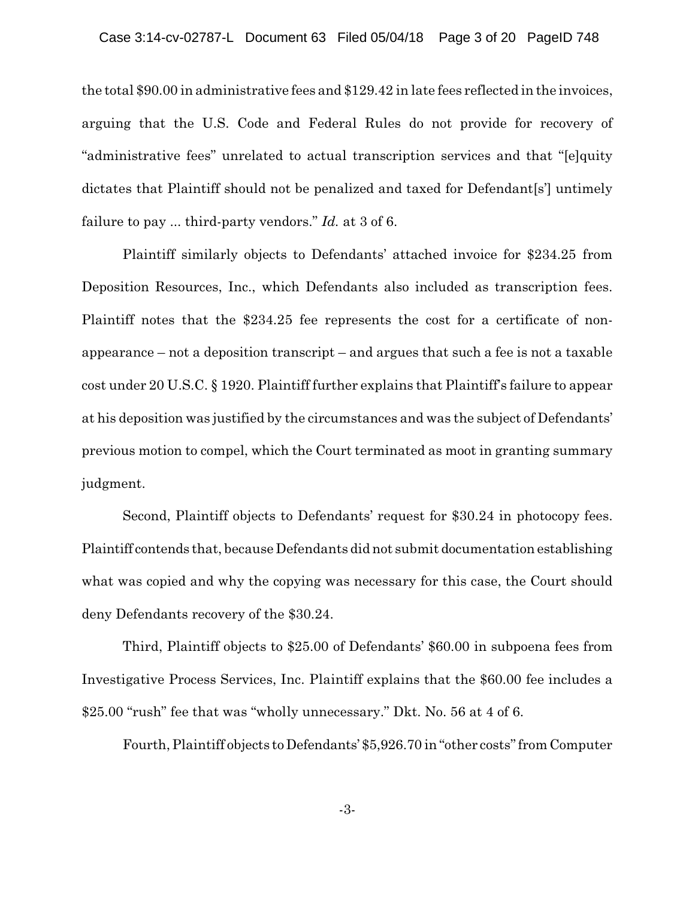the total \$90.00 in administrative fees and \$129.42 in late fees reflected in the invoices, arguing that the U.S. Code and Federal Rules do not provide for recovery of "administrative fees" unrelated to actual transcription services and that "[e]quity dictates that Plaintiff should not be penalized and taxed for Defendant[s'] untimely failure to pay ... third-party vendors." *Id.* at 3 of 6.

Plaintiff similarly objects to Defendants' attached invoice for \$234.25 from Deposition Resources, Inc., which Defendants also included as transcription fees. Plaintiff notes that the \$234.25 fee represents the cost for a certificate of nonappearance – not a deposition transcript – and argues that such a fee is not a taxable cost under 20 U.S.C. § 1920. Plaintiff further explains that Plaintiff's failure to appear at his deposition was justified by the circumstances and was the subject of Defendants' previous motion to compel, which the Court terminated as moot in granting summary judgment.

Second, Plaintiff objects to Defendants' request for \$30.24 in photocopy fees. Plaintiff contends that, because Defendants did not submit documentation establishing what was copied and why the copying was necessary for this case, the Court should deny Defendants recovery of the \$30.24.

Third, Plaintiff objects to \$25.00 of Defendants' \$60.00 in subpoena fees from Investigative Process Services, Inc. Plaintiff explains that the \$60.00 fee includes a \$25.00 "rush" fee that was "wholly unnecessary." Dkt. No. 56 at 4 of 6.

Fourth, Plaintiff objects to Defendants' \$5,926.70 in "other costs" from Computer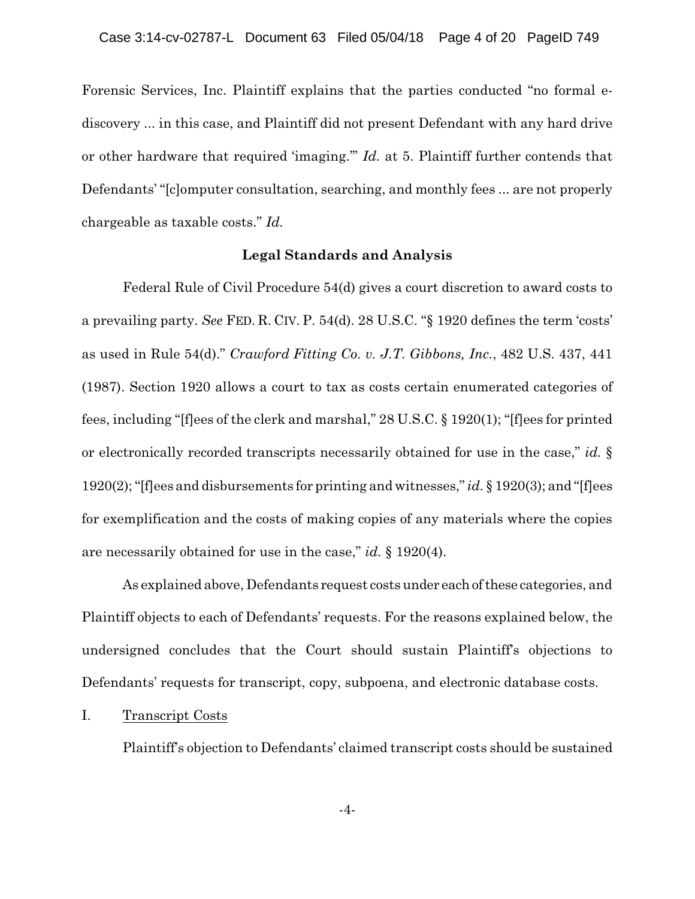Forensic Services, Inc. Plaintiff explains that the parties conducted "no formal ediscovery ... in this case, and Plaintiff did not present Defendant with any hard drive or other hardware that required 'imaging.'" *Id.* at 5. Plaintiff further contends that Defendants' "[c]omputer consultation, searching, and monthly fees ... are not properly chargeable as taxable costs." *Id.*

### **Legal Standards and Analysis**

Federal Rule of Civil Procedure 54(d) gives a court discretion to award costs to a prevailing party. *See* FED. R. CIV. P. 54(d). 28 U.S.C. "§ 1920 defines the term 'costs' as used in Rule 54(d)." *Crawford Fitting Co. v. J.T. Gibbons, Inc.*, 482 U.S. 437, 441 (1987). Section 1920 allows a court to tax as costs certain enumerated categories of fees, including "[f]ees of the clerk and marshal," 28 U.S.C. § 1920(1); "[f]ees for printed or electronically recorded transcripts necessarily obtained for use in the case," *id.* § 1920(2); "[f]ees and disbursements for printing and witnesses," *id.* § 1920(3); and "[f]ees for exemplification and the costs of making copies of any materials where the copies are necessarily obtained for use in the case," *id.* § 1920(4).

As explained above, Defendants request costs under eachofthese categories, and Plaintiff objects to each of Defendants' requests. For the reasons explained below, the undersigned concludes that the Court should sustain Plaintiff's objections to Defendants' requests for transcript, copy, subpoena, and electronic database costs.

#### I. Transcript Costs

Plaintiff's objection to Defendants' claimed transcript costs should be sustained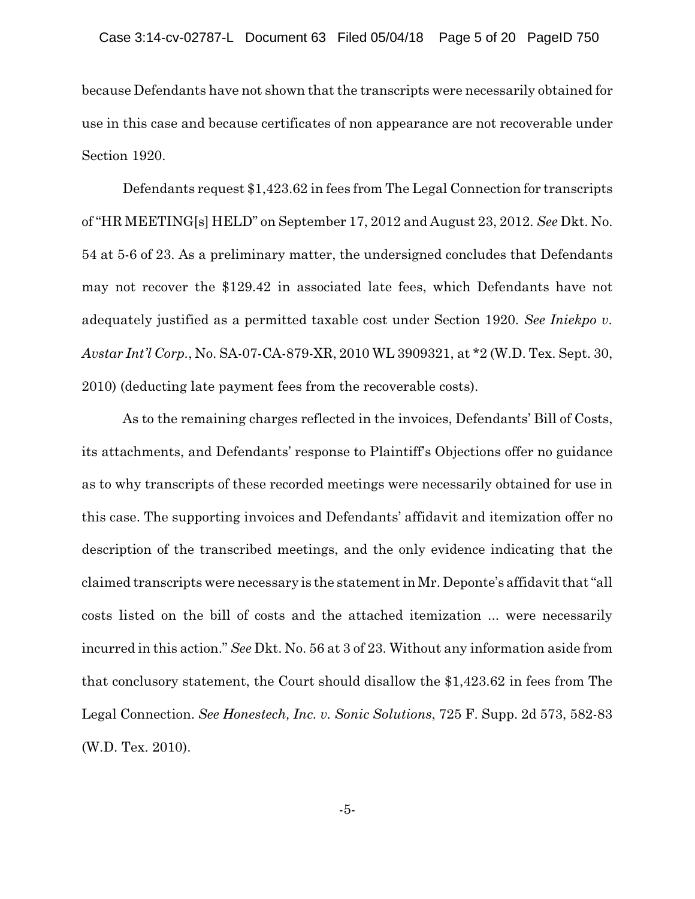because Defendants have not shown that the transcripts were necessarily obtained for use in this case and because certificates of non appearance are not recoverable under Section 1920.

Defendants request \$1,423.62 in fees from The Legal Connection for transcripts of "HR MEETING[s] HELD" on September 17, 2012 and August 23, 2012. *See* Dkt. No. 54 at 5-6 of 23. As a preliminary matter, the undersigned concludes that Defendants may not recover the \$129.42 in associated late fees, which Defendants have not adequately justified as a permitted taxable cost under Section 1920. *See Iniekpo v. Avstar Int'l Corp.*, No. SA-07-CA-879-XR, 2010 WL 3909321, at \*2 (W.D. Tex. Sept. 30, 2010) (deducting late payment fees from the recoverable costs).

As to the remaining charges reflected in the invoices, Defendants' Bill of Costs, its attachments, and Defendants' response to Plaintiff's Objections offer no guidance as to why transcripts of these recorded meetings were necessarily obtained for use in this case. The supporting invoices and Defendants' affidavit and itemization offer no description of the transcribed meetings, and the only evidence indicating that the claimed transcripts were necessary is the statement in Mr. Deponte's affidavit that "all costs listed on the bill of costs and the attached itemization ... were necessarily incurred in this action." *See* Dkt. No. 56 at 3 of 23. Without any information aside from that conclusory statement, the Court should disallow the \$1,423.62 in fees from The Legal Connection. *See Honestech, Inc. v. Sonic Solutions*, 725 F. Supp. 2d 573, 582-83 (W.D. Tex. 2010).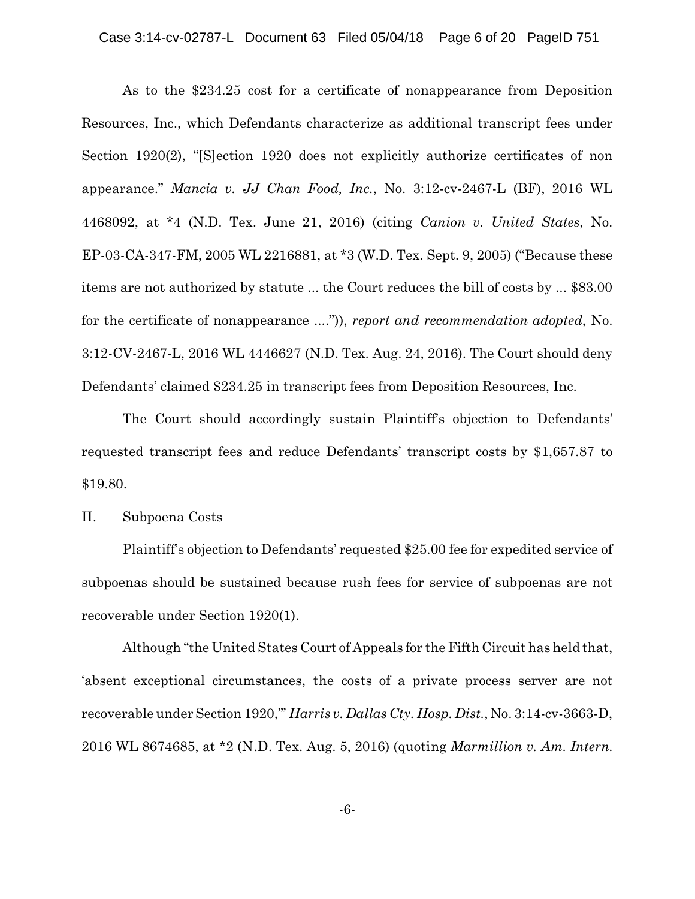As to the \$234.25 cost for a certificate of nonappearance from Deposition Resources, Inc., which Defendants characterize as additional transcript fees under Section 1920(2), "[S]ection 1920 does not explicitly authorize certificates of non appearance." *Mancia v. JJ Chan Food, Inc.*, No. 3:12-cv-2467-L (BF), 2016 WL 4468092, at \*4 (N.D. Tex. June 21, 2016) (citing *Canion v. United States*, No. EP-03-CA-347-FM, 2005 WL 2216881, at \*3 (W.D. Tex. Sept. 9, 2005) ("Because these items are not authorized by statute ... the Court reduces the bill of costs by ... \$83.00 for the certificate of nonappearance ....")), *report and recommendation adopted*, No. 3:12-CV-2467-L, 2016 WL 4446627 (N.D. Tex. Aug. 24, 2016). The Court should deny Defendants' claimed \$234.25 in transcript fees from Deposition Resources, Inc.

The Court should accordingly sustain Plaintiff's objection to Defendants' requested transcript fees and reduce Defendants' transcript costs by \$1,657.87 to \$19.80.

### II. Subpoena Costs

Plaintiff's objection to Defendants' requested \$25.00 fee for expedited service of subpoenas should be sustained because rush fees for service of subpoenas are not recoverable under Section 1920(1).

Although "the United States Court of Appeals for the Fifth Circuit has held that, 'absent exceptional circumstances, the costs of a private process server are not recoverable under Section 1920,'" *Harris v. Dallas Cty. Hosp. Dist.*, No. 3:14-cv-3663-D, 2016 WL 8674685, at \*2 (N.D. Tex. Aug. 5, 2016) (quoting *Marmillion v. Am. Intern.*

-6-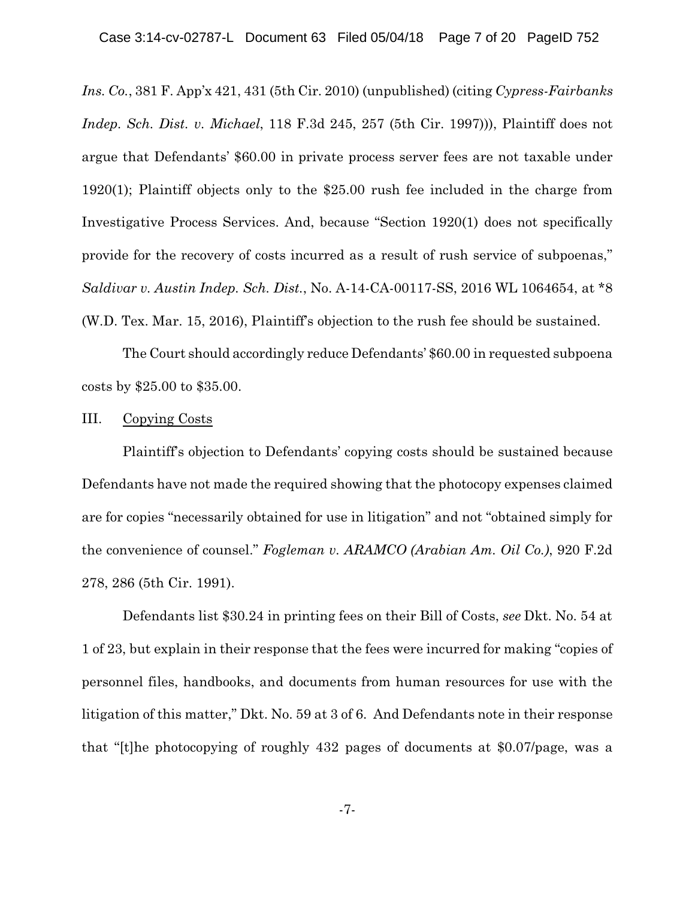*Ins. Co.*, 381 F. App'x 421, 431 (5th Cir. 2010) (unpublished) (citing *Cypress-Fairbanks Indep. Sch. Dist. v. Michael*, 118 F.3d 245, 257 (5th Cir. 1997))), Plaintiff does not argue that Defendants' \$60.00 in private process server fees are not taxable under 1920(1); Plaintiff objects only to the \$25.00 rush fee included in the charge from Investigative Process Services. And, because "Section 1920(1) does not specifically provide for the recovery of costs incurred as a result of rush service of subpoenas," *Saldivar v. Austin Indep. Sch. Dist.*, No. A-14-CA-00117-SS, 2016 WL 1064654, at \*8 (W.D. Tex. Mar. 15, 2016), Plaintiff's objection to the rush fee should be sustained.

The Court should accordingly reduce Defendants' \$60.00 in requested subpoena costs by \$25.00 to \$35.00.

## III. Copying Costs

Plaintiff's objection to Defendants' copying costs should be sustained because Defendants have not made the required showing that the photocopy expenses claimed are for copies "necessarily obtained for use in litigation" and not "obtained simply for the convenience of counsel." *Fogleman v. ARAMCO (Arabian Am. Oil Co.)*, 920 F.2d 278, 286 (5th Cir. 1991).

Defendants list \$30.24 in printing fees on their Bill of Costs, *see* Dkt. No. 54 at 1 of 23, but explain in their response that the fees were incurred for making "copies of personnel files, handbooks, and documents from human resources for use with the litigation of this matter," Dkt. No. 59 at 3 of 6. And Defendants note in their response that "[t]he photocopying of roughly 432 pages of documents at \$0.07/page, was a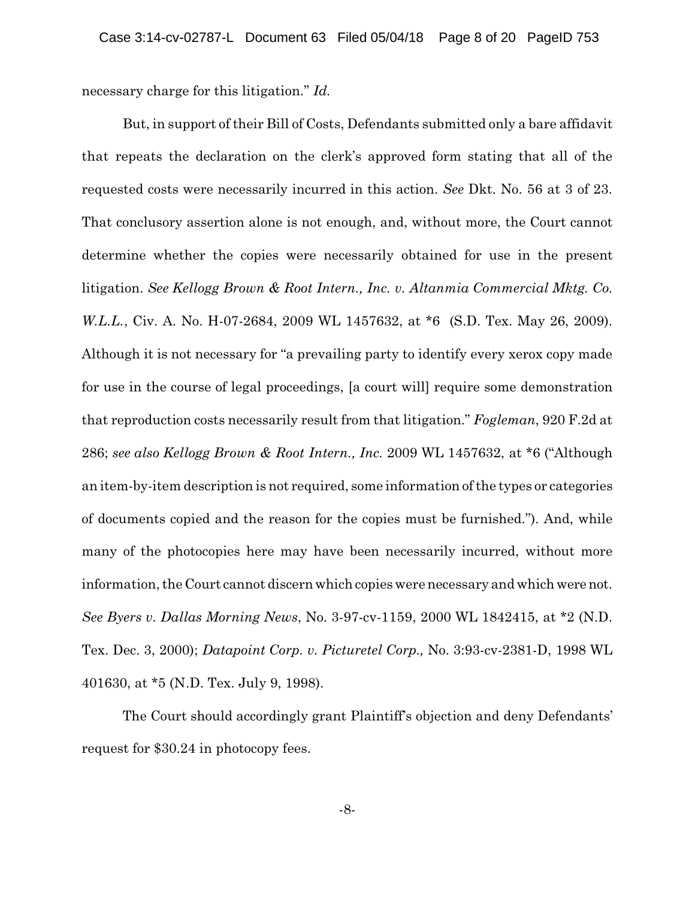necessary charge for this litigation." *Id.*

But, in support of their Bill of Costs, Defendants submitted only a bare affidavit that repeats the declaration on the clerk's approved form stating that all of the requested costs were necessarily incurred in this action. *See* Dkt. No. 56 at 3 of 23. That conclusory assertion alone is not enough, and, without more, the Court cannot determine whether the copies were necessarily obtained for use in the present litigation. *See Kellogg Brown & Root Intern., Inc. v. Altanmia Commercial Mktg. Co. W.L.L.*, Civ. A. No. H-07-2684, 2009 WL 1457632, at \*6 (S.D. Tex. May 26, 2009). Although it is not necessary for "a prevailing party to identify every xerox copy made for use in the course of legal proceedings, [a court will] require some demonstration that reproduction costs necessarily result from that litigation." *Fogleman*, 920 F.2d at 286; *see also Kellogg Brown & Root Intern., Inc.* 2009 WL 1457632, at \*6 ("Although an item-by-item description is not required, some information of the types or categories of documents copied and the reason for the copies must be furnished."). And, while many of the photocopies here may have been necessarily incurred, without more information, the Court cannot discern which copies were necessary and which werenot. *See Byers v. Dallas Morning News*, No. 3-97-cv-1159, 2000 WL 1842415, at \*2 (N.D. Tex. Dec. 3, 2000); *Datapoint Corp. v. Picturetel Corp*.*,* No. 3:93-cv-2381-D, 1998 WL 401630, at \*5 (N.D. Tex. July 9, 1998).

The Court should accordingly grant Plaintiff's objection and deny Defendants' request for \$30.24 in photocopy fees.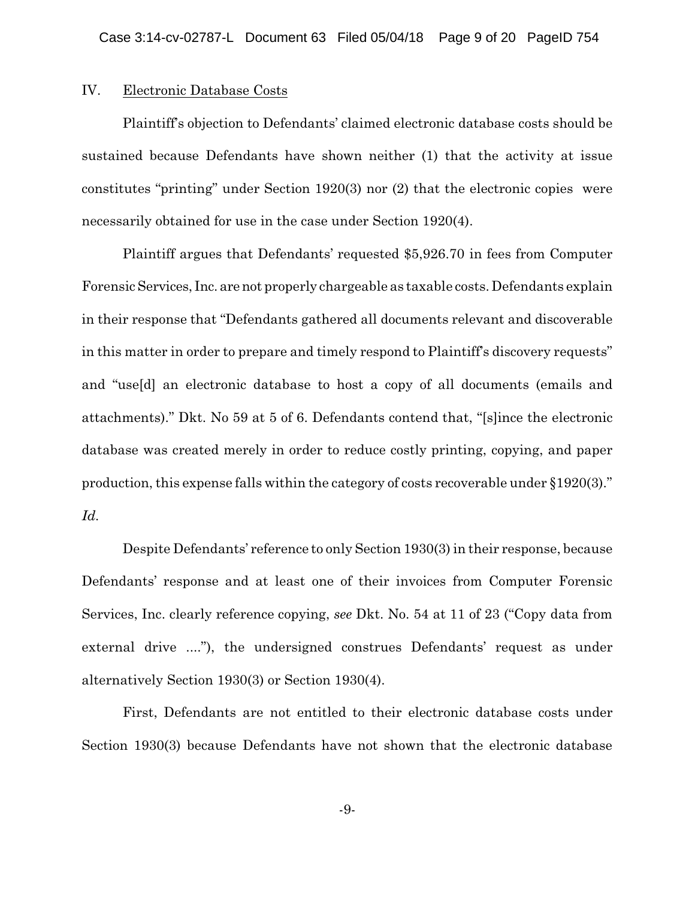## IV. Electronic Database Costs

Plaintiff's objection to Defendants' claimed electronic database costs should be sustained because Defendants have shown neither (1) that the activity at issue constitutes "printing" under Section 1920(3) nor (2) that the electronic copies were necessarily obtained for use in the case under Section 1920(4).

Plaintiff argues that Defendants' requested \$5,926.70 in fees from Computer Forensic Services, Inc. arenot properly chargeable as taxable costs. Defendants explain in their response that "Defendants gathered all documents relevant and discoverable in this matter in order to prepare and timely respond to Plaintiff's discovery requests" and "use[d] an electronic database to host a copy of all documents (emails and attachments)." Dkt. No 59 at 5 of 6. Defendants contend that, "[s]ince the electronic database was created merely in order to reduce costly printing, copying, and paper production, this expense falls within the category of costs recoverable under §1920(3)." *Id.*

Despite Defendants' reference to only Section 1930(3) in their response, because Defendants' response and at least one of their invoices from Computer Forensic Services, Inc. clearly reference copying, *see* Dkt. No. 54 at 11 of 23 ("Copy data from external drive ...."), the undersigned construes Defendants' request as under alternatively Section 1930(3) or Section 1930(4).

First, Defendants are not entitled to their electronic database costs under Section 1930(3) because Defendants have not shown that the electronic database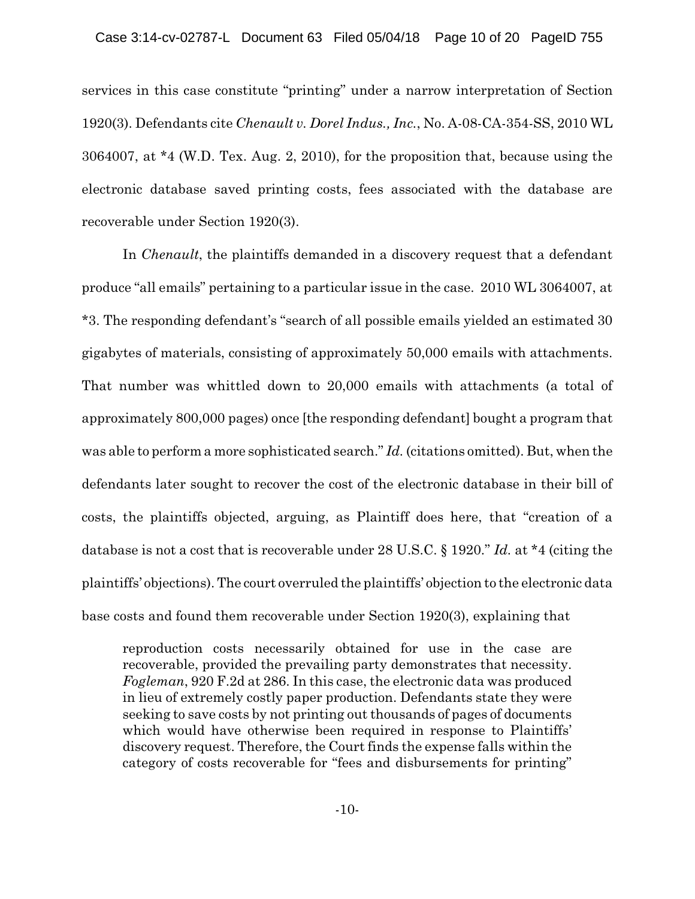services in this case constitute "printing" under a narrow interpretation of Section 1920(3). Defendants cite *Chenault v. Dorel Indus., Inc.*, No. A-08-CA-354-SS, 2010 WL 3064007, at \*4 (W.D. Tex. Aug. 2, 2010), for the proposition that, because using the electronic database saved printing costs, fees associated with the database are recoverable under Section 1920(3).

In *Chenault*, the plaintiffs demanded in a discovery request that a defendant produce "all emails" pertaining to a particular issue in the case. 2010 WL 3064007, at \*3. The responding defendant's "search of all possible emails yielded an estimated 30 gigabytes of materials, consisting of approximately 50,000 emails with attachments. That number was whittled down to 20,000 emails with attachments (a total of approximately 800,000 pages) once [the responding defendant] bought a program that was able to perform a more sophisticated search." *Id.* (citations omitted). But, when the defendants later sought to recover the cost of the electronic database in their bill of costs, the plaintiffs objected, arguing, as Plaintiff does here, that "creation of a database is not a cost that is recoverable under 28 U.S.C. § 1920." *Id.* at \*4 (citing the plaintiffs' objections). The court overruled the plaintiffs' objection to the electronic data base costs and found them recoverable under Section 1920(3), explaining that

reproduction costs necessarily obtained for use in the case are recoverable, provided the prevailing party demonstrates that necessity. *Fogleman*, 920 F.2d at 286. In this case, the electronic data was produced in lieu of extremely costly paper production. Defendants state they were seeking to save costs by not printing out thousands of pages of documents which would have otherwise been required in response to Plaintiffs' discovery request. Therefore, the Court finds the expense falls within the category of costs recoverable for "fees and disbursements for printing"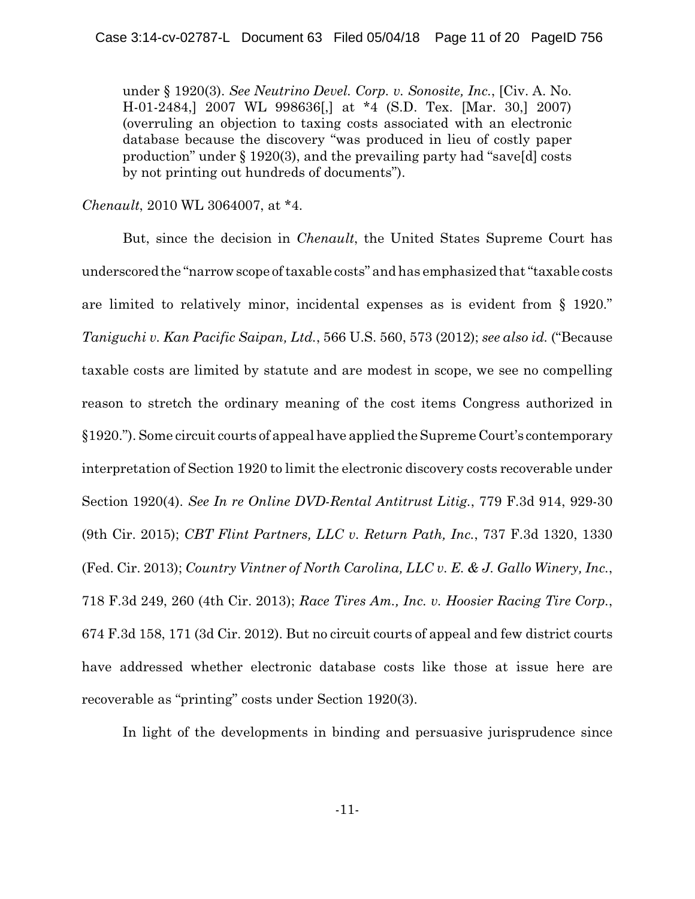under § 1920(3). *See Neutrino Devel. Corp. v. Sonosite, Inc.*, [Civ. A. No. H-01-2484,] 2007 WL 998636[,] at \*4 (S.D. Tex. [Mar. 30,] 2007) (overruling an objection to taxing costs associated with an electronic database because the discovery "was produced in lieu of costly paper production" under § 1920(3), and the prevailing party had "save[d] costs by not printing out hundreds of documents").

*Chenault*, 2010 WL 3064007, at \*4.

But, since the decision in *Chenault*, the United States Supreme Court has underscored the "narrow scope of taxable costs" and has emphasized that "taxable costs are limited to relatively minor, incidental expenses as is evident from § 1920." *Taniguchi v. Kan Pacific Saipan, Ltd.*, 566 U.S. 560, 573 (2012); *see also id.* ("Because taxable costs are limited by statute and are modest in scope, we see no compelling reason to stretch the ordinary meaning of the cost items Congress authorized in §1920."). Some circuit courts of appeal have applied the Supreme Court's contemporary interpretation of Section 1920 to limit the electronic discovery costs recoverable under Section 1920(4). *See In re Online DVD-Rental Antitrust Litig.*, 779 F.3d 914, 929-30 (9th Cir. 2015); *CBT Flint Partners, LLC v. Return Path, Inc.*, 737 F.3d 1320, 1330 (Fed. Cir. 2013); *Country Vintner of North Carolina, LLC v. E. & J. Gallo Winery, Inc.*, 718 F.3d 249, 260 (4th Cir. 2013); *Race Tires Am., Inc. v. Hoosier Racing Tire Corp.*, 674 F.3d 158, 171 (3d Cir. 2012). But no circuit courts of appeal and few district courts have addressed whether electronic database costs like those at issue here are recoverable as "printing" costs under Section 1920(3).

In light of the developments in binding and persuasive jurisprudence since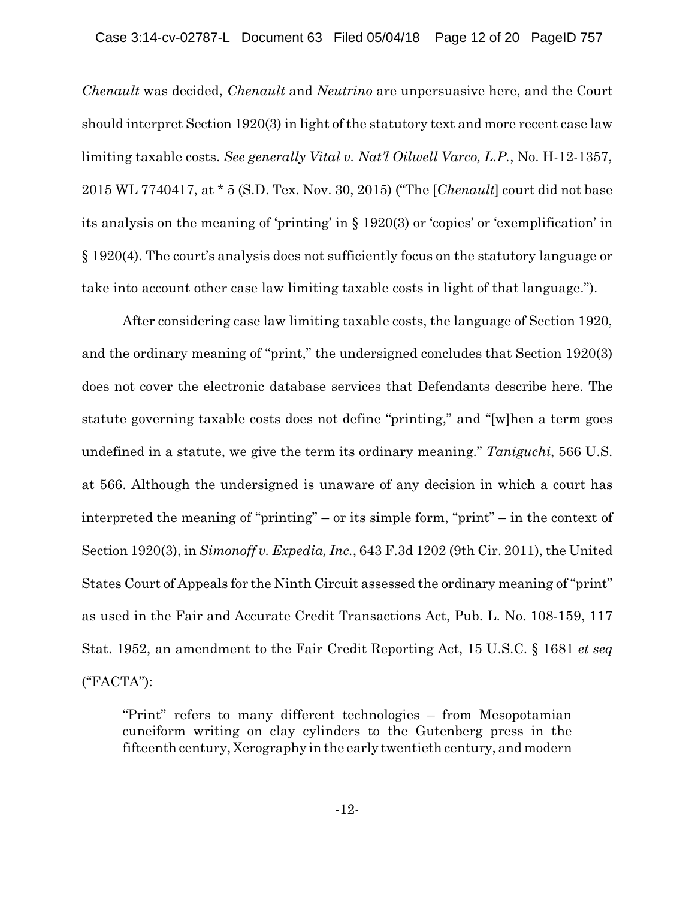*Chenault* was decided, *Chenault* and *Neutrino* are unpersuasive here, and the Court should interpret Section 1920(3) in light of the statutory text and more recent case law limiting taxable costs. *See generally Vital v. Nat'l Oilwell Varco, L.P.*, No. H-12-1357, 2015 WL 7740417, at \* 5 (S.D. Tex. Nov. 30, 2015) ("The [*Chenault*] court did not base its analysis on the meaning of 'printing' in § 1920(3) or 'copies' or 'exemplification' in § 1920(4). The court's analysis does not sufficiently focus on the statutory language or take into account other case law limiting taxable costs in light of that language.").

After considering case law limiting taxable costs, the language of Section 1920, and the ordinary meaning of "print," the undersigned concludes that Section 1920(3) does not cover the electronic database services that Defendants describe here. The statute governing taxable costs does not define "printing," and "[w]hen a term goes undefined in a statute, we give the term its ordinary meaning." *Taniguchi*, 566 U.S. at 566. Although the undersigned is unaware of any decision in which a court has interpreted the meaning of "printing" – or its simple form, "print" – in the context of Section 1920(3), in *Simonoff v. Expedia, Inc.*, 643 F.3d 1202 (9th Cir. 2011), the United States Court of Appeals for the Ninth Circuit assessed the ordinary meaning of "print" as used in the Fair and Accurate Credit Transactions Act, Pub. L. No. 108-159, 117 Stat. 1952, an amendment to the Fair Credit Reporting Act, 15 U.S.C. § 1681 *et seq* ("FACTA"):

"Print" refers to many different technologies – from Mesopotamian cuneiform writing on clay cylinders to the Gutenberg press in the fifteenth century, Xerography in the early twentieth century, and modern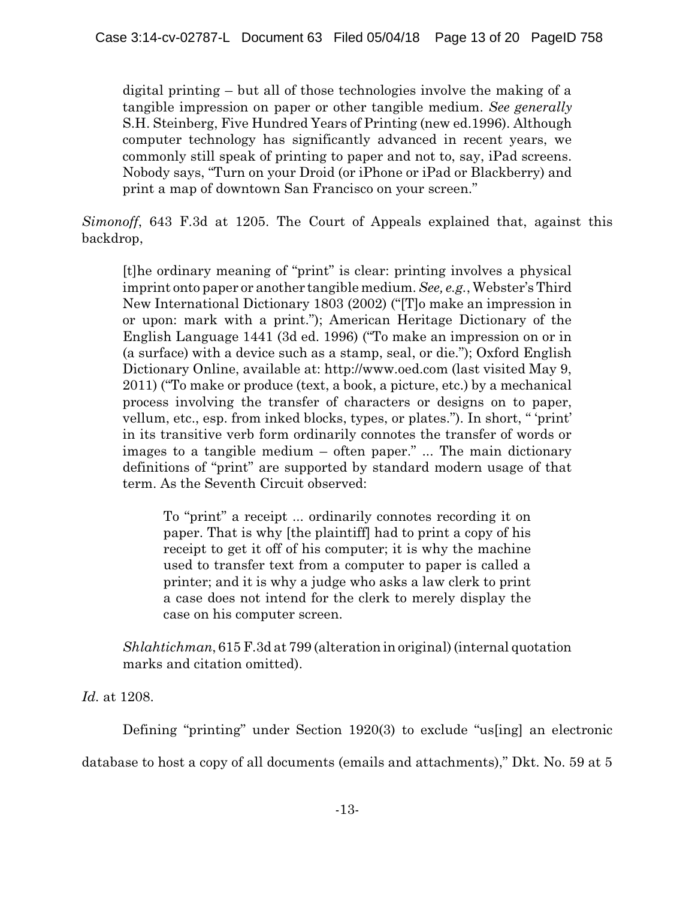digital printing – but all of those technologies involve the making of a tangible impression on paper or other tangible medium. *See generally* S.H. Steinberg, Five Hundred Years of Printing (new ed.1996). Although computer technology has significantly advanced in recent years, we commonly still speak of printing to paper and not to, say, iPad screens. Nobody says, "Turn on your Droid (or iPhone or iPad or Blackberry) and print a map of downtown San Francisco on your screen."

*Simonoff*, 643 F.3d at 1205. The Court of Appeals explained that, against this backdrop,

[t]he ordinary meaning of "print" is clear: printing involves a physical imprint onto paper or another tangible medium. *See, e.g.*, Webster's Third New International Dictionary 1803 (2002) ("[T]o make an impression in or upon: mark with a print."); American Heritage Dictionary of the English Language 1441 (3d ed. 1996) ("To make an impression on or in (a surface) with a device such as a stamp, seal, or die."); Oxford English Dictionary Online, available at: http://www.oed.com (last visited May 9, 2011) ("To make or produce (text, a book, a picture, etc.) by a mechanical process involving the transfer of characters or designs on to paper, vellum, etc., esp. from inked blocks, types, or plates."). In short, " 'print' in its transitive verb form ordinarily connotes the transfer of words or images to a tangible medium – often paper." ... The main dictionary definitions of "print" are supported by standard modern usage of that term. As the Seventh Circuit observed:

To "print" a receipt ... ordinarily connotes recording it on paper. That is why [the plaintiff] had to print a copy of his receipt to get it off of his computer; it is why the machine used to transfer text from a computer to paper is called a printer; and it is why a judge who asks a law clerk to print a case does not intend for the clerk to merely display the case on his computer screen.

*Shlahtichman*, 615 F.3d at 799 (alteration in original) (internal quotation marks and citation omitted).

*Id.* at 1208.

Defining "printing" under Section 1920(3) to exclude "us[ing] an electronic database to host a copy of all documents (emails and attachments)," Dkt. No. 59 at 5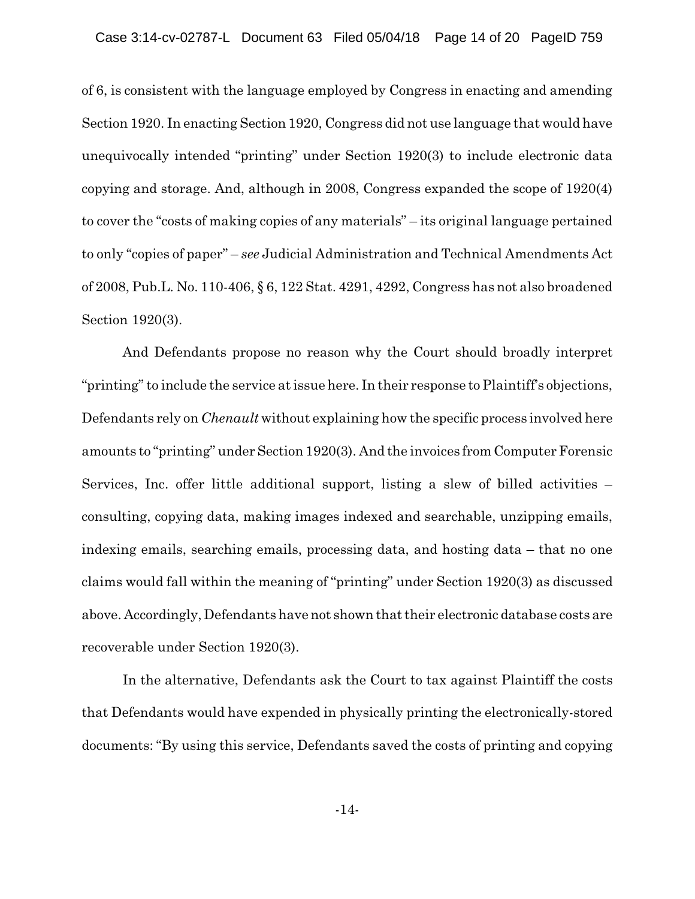of 6, is consistent with the language employed by Congress in enacting and amending Section 1920. In enacting Section 1920, Congress did not use language that would have unequivocally intended "printing" under Section 1920(3) to include electronic data copying and storage. And, although in 2008, Congress expanded the scope of 1920(4) to cover the "costs of making copies of any materials" – its original language pertained to only "copies of paper" – *see* Judicial Administration and Technical Amendments Act of 2008, Pub.L. No. 110-406, § 6, 122 Stat. 4291, 4292, Congress has not also broadened Section 1920(3).

And Defendants propose no reason why the Court should broadly interpret "printing" to include the service at issue here. In their response to Plaintiff's objections, Defendants rely on *Chenault* without explaining how the specific process involved here amounts to "printing" under Section 1920(3). And the invoices from Computer Forensic Services, Inc. offer little additional support, listing a slew of billed activities – consulting, copying data, making images indexed and searchable, unzipping emails, indexing emails, searching emails, processing data, and hosting data – that no one claims would fall within the meaning of "printing" under Section 1920(3) as discussed above. Accordingly, Defendants have not shown that their electronic database costs are recoverable under Section 1920(3).

In the alternative, Defendants ask the Court to tax against Plaintiff the costs that Defendants would have expended in physically printing the electronically-stored documents: "By using this service, Defendants saved the costs of printing and copying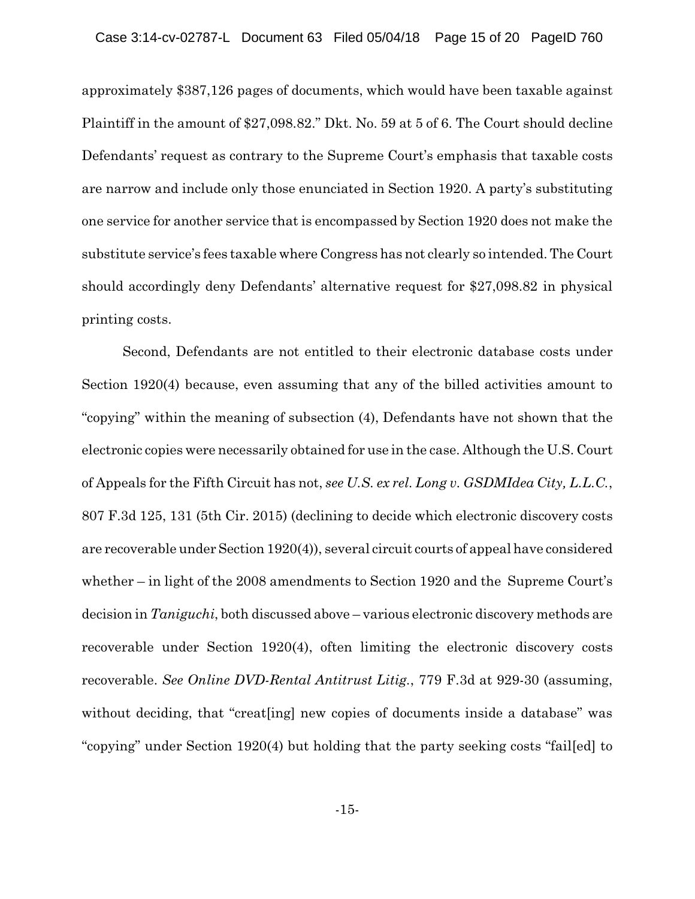approximately \$387,126 pages of documents, which would have been taxable against Plaintiff in the amount of \$27,098.82." Dkt. No. 59 at 5 of 6. The Court should decline Defendants' request as contrary to the Supreme Court's emphasis that taxable costs are narrow and include only those enunciated in Section 1920. A party's substituting one service for another service that is encompassed by Section 1920 does not make the substitute service's fees taxable where Congress has not clearly so intended. The Court should accordingly deny Defendants' alternative request for \$27,098.82 in physical printing costs.

Second, Defendants are not entitled to their electronic database costs under Section 1920(4) because, even assuming that any of the billed activities amount to "copying" within the meaning of subsection (4), Defendants have not shown that the electronic copies were necessarily obtained for use in the case. Although the U.S. Court of Appeals for the Fifth Circuit has not, *see U.S. ex rel. Long v. GSDMIdea City, L.L.C.*, 807 F.3d 125, 131 (5th Cir. 2015) (declining to decide which electronic discovery costs are recoverable under Section 1920(4)), several circuit courts of appeal have considered whether – in light of the 2008 amendments to Section 1920 and the Supreme Court's decision in *Taniguchi*, both discussed above – various electronic discovery methods are recoverable under Section 1920(4), often limiting the electronic discovery costs recoverable. *See Online DVD-Rental Antitrust Litig.*, 779 F.3d at 929-30 (assuming, without deciding, that "creat [ing] new copies of documents inside a database" was "copying" under Section 1920(4) but holding that the party seeking costs "fail[ed] to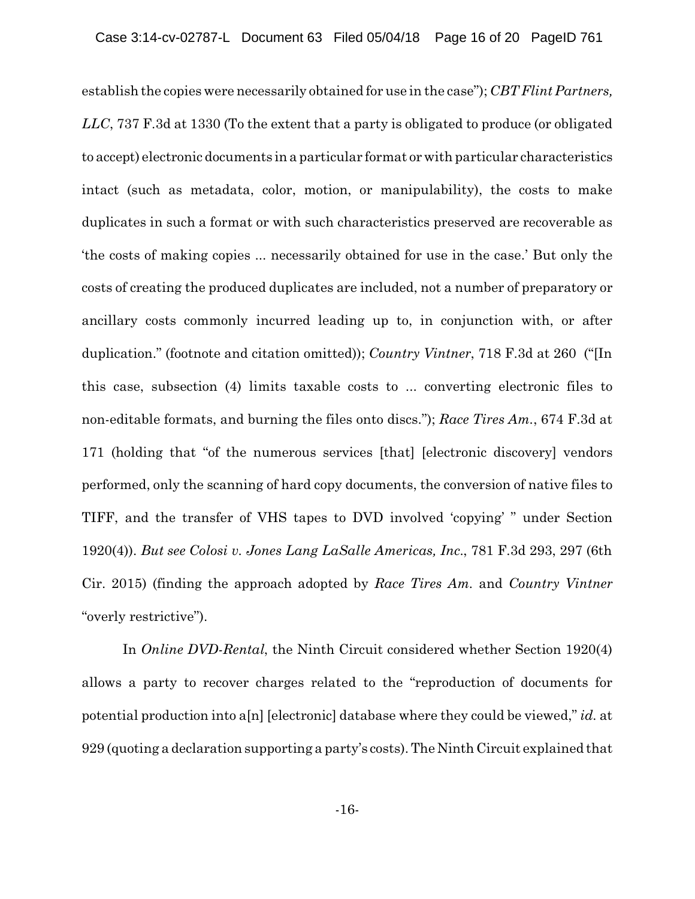establish the copies were necessarily obtained for use in the case"); *CBT Flint Partners, LLC*, 737 F.3d at 1330 (To the extent that a party is obligated to produce (or obligated to accept) electronic documents in a particular format or with particular characteristics intact (such as metadata, color, motion, or manipulability), the costs to make duplicates in such a format or with such characteristics preserved are recoverable as 'the costs of making copies ... necessarily obtained for use in the case.' But only the costs of creating the produced duplicates are included, not a number of preparatory or ancillary costs commonly incurred leading up to, in conjunction with, or after duplication." (footnote and citation omitted)); *Country Vintner*, 718 F.3d at 260 ("[In this case, subsection (4) limits taxable costs to ... converting electronic files to non-editable formats, and burning the files onto discs."); *Race Tires Am.*, 674 F.3d at 171 (holding that "of the numerous services [that] [electronic discovery] vendors performed, only the scanning of hard copy documents, the conversion of native files to TIFF, and the transfer of VHS tapes to DVD involved 'copying' " under Section 1920(4)). *But see Colosi v. Jones Lang LaSalle Americas, Inc.*, 781 F.3d 293, 297 (6th Cir. 2015) (finding the approach adopted by *Race Tires Am.* and *Country Vintner* "overly restrictive").

In *Online DVD-Rental*, the Ninth Circuit considered whether Section 1920(4) allows a party to recover charges related to the "reproduction of documents for potential production into a[n] [electronic] database where they could be viewed," *id.* at 929 (quoting a declaration supporting a party's costs). The Ninth Circuit explained that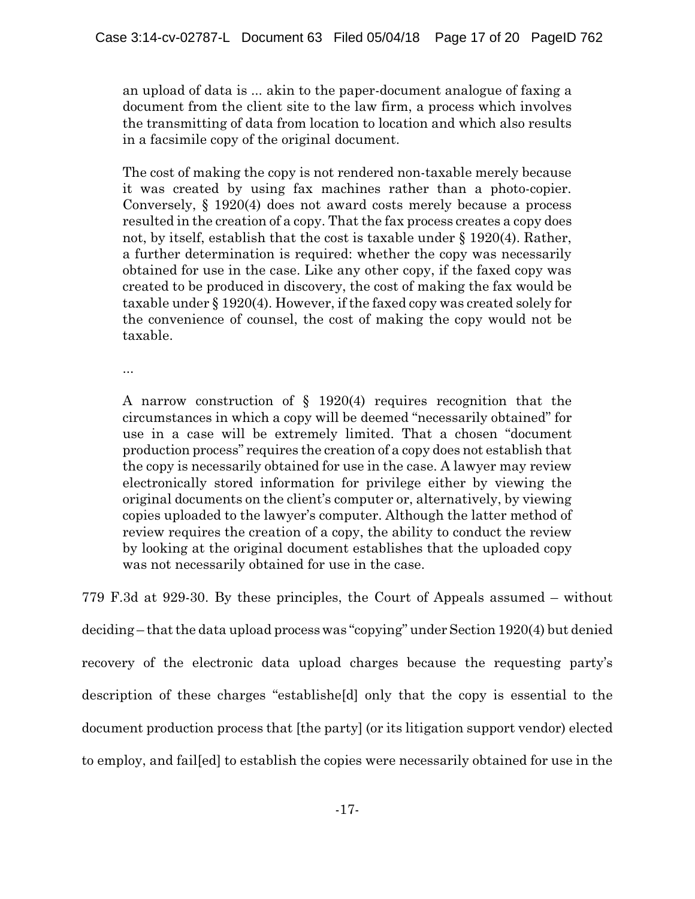an upload of data is ... akin to the paper-document analogue of faxing a document from the client site to the law firm, a process which involves the transmitting of data from location to location and which also results in a facsimile copy of the original document.

The cost of making the copy is not rendered non-taxable merely because it was created by using fax machines rather than a photo-copier. Conversely, § 1920(4) does not award costs merely because a process resulted in the creation of a copy. That the fax process creates a copy does not, by itself, establish that the cost is taxable under § 1920(4). Rather, a further determination is required: whether the copy was necessarily obtained for use in the case. Like any other copy, if the faxed copy was created to be produced in discovery, the cost of making the fax would be taxable under § 1920(4). However, if the faxed copy was created solely for the convenience of counsel, the cost of making the copy would not be taxable.

...

A narrow construction of § 1920(4) requires recognition that the circumstances in which a copy will be deemed "necessarily obtained" for use in a case will be extremely limited. That a chosen "document production process" requires the creation of a copy does not establish that the copy is necessarily obtained for use in the case. A lawyer may review electronically stored information for privilege either by viewing the original documents on the client's computer or, alternatively, by viewing copies uploaded to the lawyer's computer. Although the latter method of review requires the creation of a copy, the ability to conduct the review by looking at the original document establishes that the uploaded copy was not necessarily obtained for use in the case.

779 F.3d at 929-30. By these principles, the Court of Appeals assumed – without deciding – that the data upload process was "copying" under Section 1920(4) but denied recovery of the electronic data upload charges because the requesting party's description of these charges "establishe[d] only that the copy is essential to the document production process that [the party] (or its litigation support vendor) elected to employ, and fail[ed] to establish the copies were necessarily obtained for use in the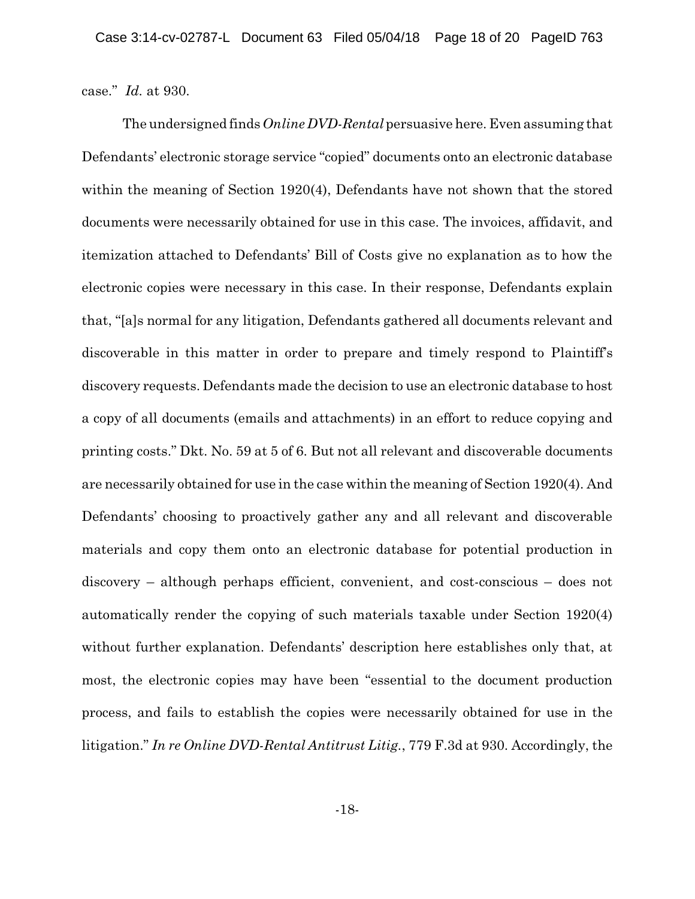case." *Id.* at 930.

The undersigned finds *Online DVD-Rental* persuasive here. Even assuming that Defendants' electronic storage service "copied" documents onto an electronic database within the meaning of Section 1920(4), Defendants have not shown that the stored documents were necessarily obtained for use in this case. The invoices, affidavit, and itemization attached to Defendants' Bill of Costs give no explanation as to how the electronic copies were necessary in this case. In their response, Defendants explain that, "[a]s normal for any litigation, Defendants gathered all documents relevant and discoverable in this matter in order to prepare and timely respond to Plaintiff's discovery requests. Defendants made the decision to use an electronic database to host a copy of all documents (emails and attachments) in an effort to reduce copying and printing costs." Dkt. No. 59 at 5 of 6. But not all relevant and discoverable documents are necessarily obtained for use in the case within the meaning of Section 1920(4). And Defendants' choosing to proactively gather any and all relevant and discoverable materials and copy them onto an electronic database for potential production in discovery – although perhaps efficient, convenient, and cost-conscious – does not automatically render the copying of such materials taxable under Section 1920(4) without further explanation. Defendants' description here establishes only that, at most, the electronic copies may have been "essential to the document production process, and fails to establish the copies were necessarily obtained for use in the litigation." *In re Online DVD-Rental Antitrust Litig.*, 779 F.3d at 930. Accordingly, the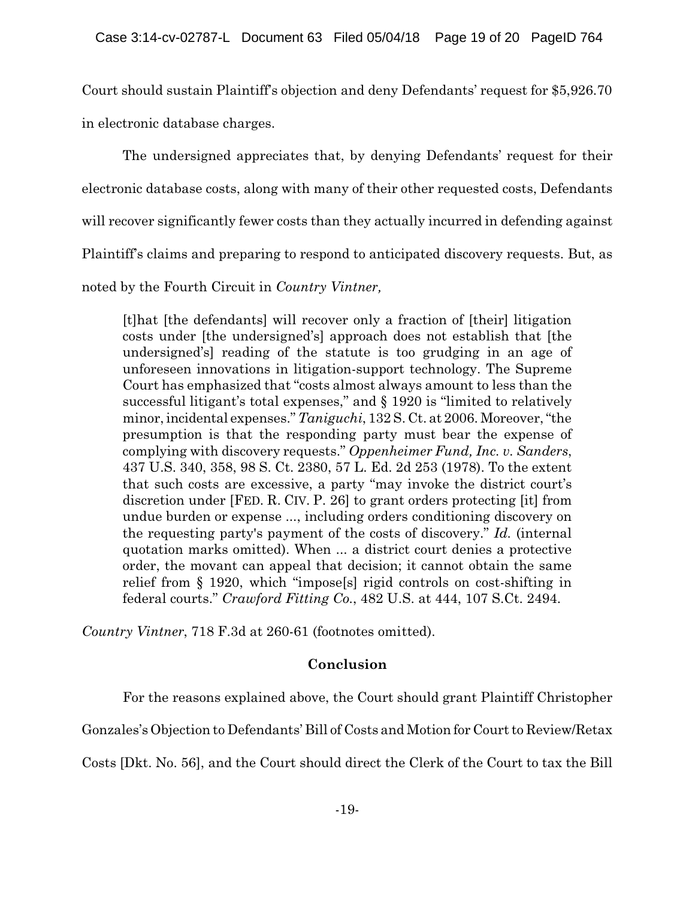Court should sustain Plaintiff's objection and deny Defendants' request for \$5,926.70 in electronic database charges.

The undersigned appreciates that, by denying Defendants' request for their electronic database costs, along with many of their other requested costs, Defendants will recover significantly fewer costs than they actually incurred in defending against Plaintiff's claims and preparing to respond to anticipated discovery requests. But, as noted by the Fourth Circuit in *Country Vintner,*

[t]hat [the defendants] will recover only a fraction of [their] litigation costs under [the undersigned's] approach does not establish that [the undersigned's] reading of the statute is too grudging in an age of unforeseen innovations in litigation-support technology. The Supreme Court has emphasized that "costs almost always amount to less than the successful litigant's total expenses," and § 1920 is "limited to relatively minor, incidental expenses." *Taniguchi*, 132 S. Ct. at 2006. Moreover, "the presumption is that the responding party must bear the expense of complying with discovery requests." *Oppenheimer Fund, Inc. v. Sanders*, 437 U.S. 340, 358, 98 S. Ct. 2380, 57 L. Ed. 2d 253 (1978). To the extent that such costs are excessive, a party "may invoke the district court's discretion under [FED. R. CIV. P. 26] to grant orders protecting [it] from undue burden or expense ..., including orders conditioning discovery on the requesting party's payment of the costs of discovery." *Id.* (internal quotation marks omitted). When ... a district court denies a protective order, the movant can appeal that decision; it cannot obtain the same relief from § 1920, which "impose[s] rigid controls on cost-shifting in federal courts." *Crawford Fitting Co.*, 482 U.S. at 444, 107 S.Ct. 2494.

*Country Vintner*, 718 F.3d at 260-61 (footnotes omitted).

# **Conclusion**

For the reasons explained above, the Court should grant Plaintiff Christopher

Gonzales's Objection to Defendants' Bill of Costs and Motion for Court to Review/Retax

Costs [Dkt. No. 56], and the Court should direct the Clerk of the Court to tax the Bill